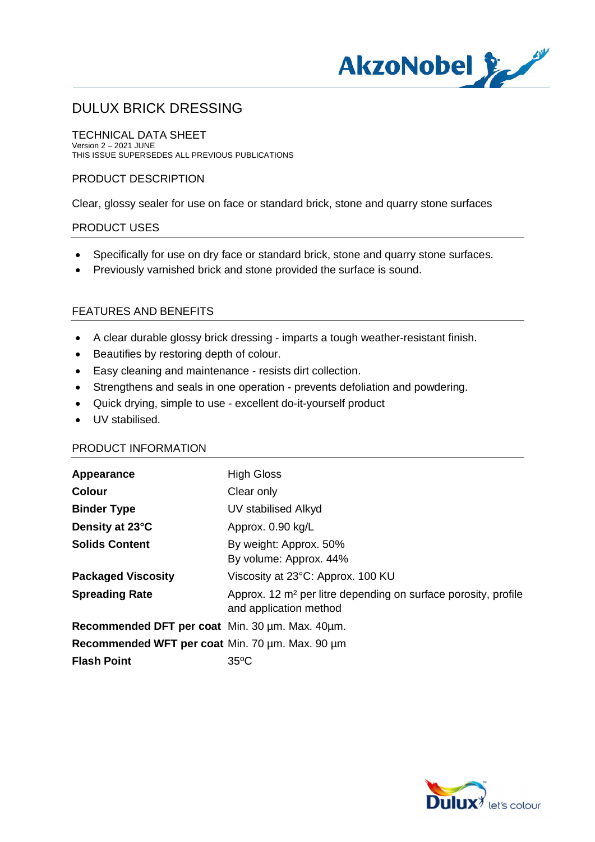

TECHNICAL DATA SHEET Version 2 – 2021 JUNE THIS ISSUE SUPERSEDES ALL PREVIOUS PUBLICATIONS

# PRODUCT DESCRIPTION

Clear, glossy sealer for use on face or standard brick, stone and quarry stone surfaces

# PRODUCT USES

- · Specifically for use on dry face or standard brick, stone and quarry stone surfaces.
- · Previously varnished brick and stone provided the surface is sound.

## FEATURES AND BENEFITS

- · A clear durable glossy brick dressing imparts a tough weather-resistant finish.
- · Beautifies by restoring depth of colour.
- · Easy cleaning and maintenance resists dirt collection.
- · Strengthens and seals in one operation prevents defoliation and powdering.
- · Quick drying, simple to use excellent do-it-yourself product
- · UV stabilised.

## PRODUCT INFORMATION

| <b>High Gloss</b>                                                                                    |
|------------------------------------------------------------------------------------------------------|
| Clear only                                                                                           |
| UV stabilised Alkyd                                                                                  |
| Approx. 0.90 kg/L                                                                                    |
| By weight: Approx. 50%                                                                               |
| By volume: Approx. 44%                                                                               |
| Viscosity at 23°C: Approx. 100 KU                                                                    |
| Approx. 12 m <sup>2</sup> per litre depending on surface porosity, profile<br>and application method |
| Recommended DFT per coat Min. 30 um. Max. 40 um.                                                     |
| Recommended WFT per coat Min. 70 um. Max. 90 um                                                      |
| $35^{\circ}$ C                                                                                       |
|                                                                                                      |

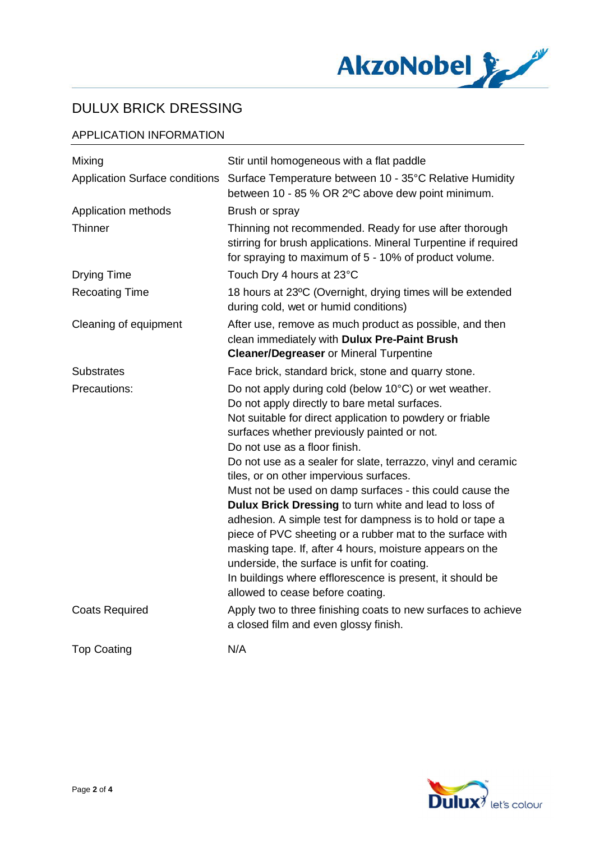

# APPLICATION INFORMATION

| Mixing                                | Stir until homogeneous with a flat paddle                                                                                                                                                                                                                                                                                                                                                                                                                                                                                                                                                                                                                                                                                                                                                                                    |
|---------------------------------------|------------------------------------------------------------------------------------------------------------------------------------------------------------------------------------------------------------------------------------------------------------------------------------------------------------------------------------------------------------------------------------------------------------------------------------------------------------------------------------------------------------------------------------------------------------------------------------------------------------------------------------------------------------------------------------------------------------------------------------------------------------------------------------------------------------------------------|
| <b>Application Surface conditions</b> | Surface Temperature between 10 - 35°C Relative Humidity<br>between 10 - 85 % OR 2°C above dew point minimum.                                                                                                                                                                                                                                                                                                                                                                                                                                                                                                                                                                                                                                                                                                                 |
| Application methods                   | Brush or spray                                                                                                                                                                                                                                                                                                                                                                                                                                                                                                                                                                                                                                                                                                                                                                                                               |
| Thinner                               | Thinning not recommended. Ready for use after thorough<br>stirring for brush applications. Mineral Turpentine if required<br>for spraying to maximum of 5 - 10% of product volume.                                                                                                                                                                                                                                                                                                                                                                                                                                                                                                                                                                                                                                           |
| <b>Drying Time</b>                    | Touch Dry 4 hours at 23°C                                                                                                                                                                                                                                                                                                                                                                                                                                                                                                                                                                                                                                                                                                                                                                                                    |
| <b>Recoating Time</b>                 | 18 hours at 23°C (Overnight, drying times will be extended<br>during cold, wet or humid conditions)                                                                                                                                                                                                                                                                                                                                                                                                                                                                                                                                                                                                                                                                                                                          |
| Cleaning of equipment                 | After use, remove as much product as possible, and then<br>clean immediately with Dulux Pre-Paint Brush<br><b>Cleaner/Degreaser or Mineral Turpentine</b>                                                                                                                                                                                                                                                                                                                                                                                                                                                                                                                                                                                                                                                                    |
| <b>Substrates</b>                     | Face brick, standard brick, stone and quarry stone.                                                                                                                                                                                                                                                                                                                                                                                                                                                                                                                                                                                                                                                                                                                                                                          |
| Precautions:                          | Do not apply during cold (below 10°C) or wet weather.<br>Do not apply directly to bare metal surfaces.<br>Not suitable for direct application to powdery or friable<br>surfaces whether previously painted or not.<br>Do not use as a floor finish.<br>Do not use as a sealer for slate, terrazzo, vinyl and ceramic<br>tiles, or on other impervious surfaces.<br>Must not be used on damp surfaces - this could cause the<br>Dulux Brick Dressing to turn white and lead to loss of<br>adhesion. A simple test for dampness is to hold or tape a<br>piece of PVC sheeting or a rubber mat to the surface with<br>masking tape. If, after 4 hours, moisture appears on the<br>underside, the surface is unfit for coating.<br>In buildings where efflorescence is present, it should be<br>allowed to cease before coating. |
| <b>Coats Required</b>                 | Apply two to three finishing coats to new surfaces to achieve<br>a closed film and even glossy finish.                                                                                                                                                                                                                                                                                                                                                                                                                                                                                                                                                                                                                                                                                                                       |
| <b>Top Coating</b>                    | N/A                                                                                                                                                                                                                                                                                                                                                                                                                                                                                                                                                                                                                                                                                                                                                                                                                          |

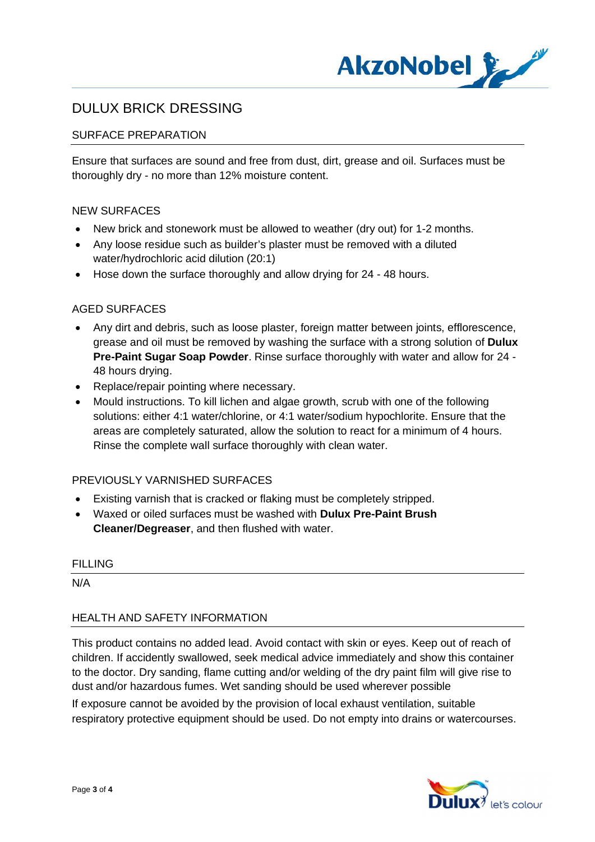

# SURFACE PREPARATION

Ensure that surfaces are sound and free from dust, dirt, grease and oil. Surfaces must be thoroughly dry - no more than 12% moisture content.

#### NEW SURFACES

- · New brick and stonework must be allowed to weather (dry out) for 1-2 months.
- · Any loose residue such as builder's plaster must be removed with a diluted water/hydrochloric acid dilution (20:1)
- · Hose down the surface thoroughly and allow drying for 24 48 hours.

#### AGED SURFACES

- · Any dirt and debris, such as loose plaster, foreign matter between joints, efflorescence, grease and oil must be removed by washing the surface with a strong solution of **Dulux Pre-Paint Sugar Soap Powder**. Rinse surface thoroughly with water and allow for 24 - 48 hours drying.
- · Replace/repair pointing where necessary.
- · Mould instructions. To kill lichen and algae growth, scrub with one of the following solutions: either 4:1 water/chlorine, or 4:1 water/sodium hypochlorite. Ensure that the areas are completely saturated, allow the solution to react for a minimum of 4 hours. Rinse the complete wall surface thoroughly with clean water.

## PREVIOUSLY VARNISHED SURFACES

- · Existing varnish that is cracked or flaking must be completely stripped.
- · Waxed or oiled surfaces must be washed with **Dulux Pre-Paint Brush Cleaner/Degreaser**, and then flushed with water.

#### FILLING

N/A

## HEALTH AND SAFETY INFORMATION

This product contains no added lead. Avoid contact with skin or eyes. Keep out of reach of children. If accidently swallowed, seek medical advice immediately and show this container to the doctor. Dry sanding, flame cutting and/or welding of the dry paint film will give rise to dust and/or hazardous fumes. Wet sanding should be used wherever possible

If exposure cannot be avoided by the provision of local exhaust ventilation, suitable respiratory protective equipment should be used. Do not empty into drains or watercourses.